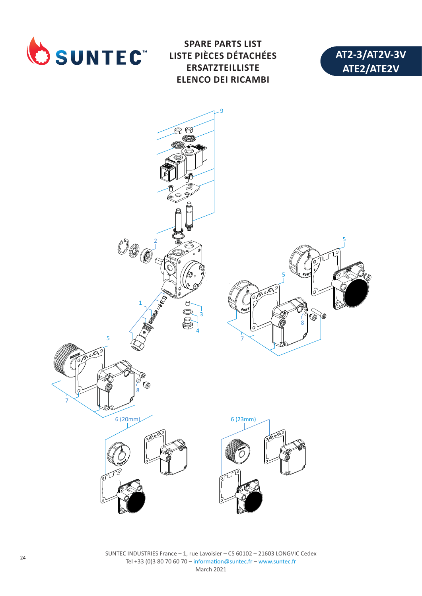

**SPARE PARTS LIST LISTE PIÈCES DÉTACHÉES ERSATZTEILLISTE ELENCO DEI RICAMBI**





SUNTEC INDUSTRIES France – 1, rue Lavoisier – CS 60102 – 21603 LONGVIC Cedex Tel +33 (0)3 80 70 60 70 – information@suntec.fr – www.suntec.fr March 2021